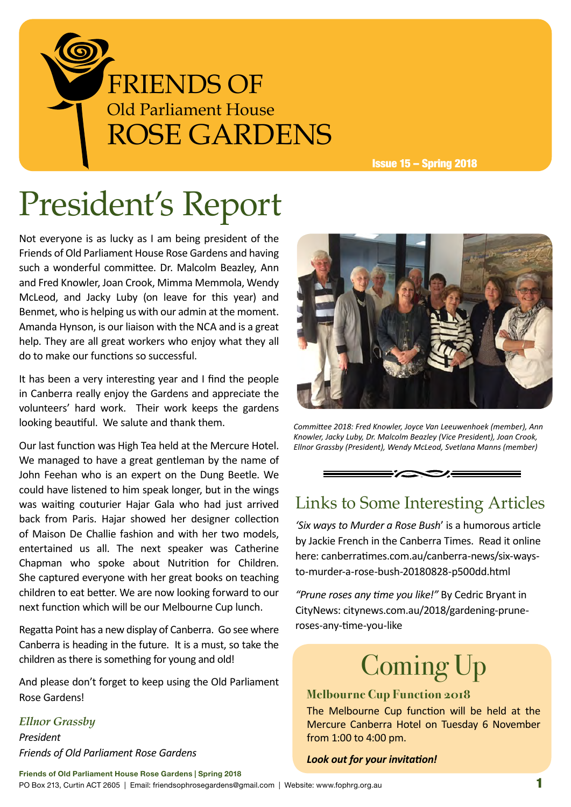

Issue 15 – Spring 2018

# President's Report

Not everyone is as lucky as I am being president of the Friends of Old Parliament House Rose Gardens and having such a wonderful committee. Dr. Malcolm Beazley, Ann and Fred Knowler, Joan Crook, Mimma Memmola, Wendy McLeod, and Jacky Luby (on leave for this year) and Benmet, who is helping us with our admin at the moment. Amanda Hynson, is our liaison with the NCA and is a great help. They are all great workers who enjoy what they all do to make our functions so successful.

It has been a very interesting year and I find the people in Canberra really enjoy the Gardens and appreciate the volunteers' hard work. Their work keeps the gardens looking beautiful. We salute and thank them.

Our last function was High Tea held at the Mercure Hotel. We managed to have a great gentleman by the name of John Feehan who is an expert on the Dung Beetle. We could have listened to him speak longer, but in the wings was waiting couturier Hajar Gala who had just arrived back from Paris. Hajar showed her designer collection of Maison De Challie fashion and with her two models, entertained us all. The next speaker was Catherine Chapman who spoke about Nutrition for Children. She captured everyone with her great books on teaching children to eat better. We are now looking forward to our next function which will be our Melbourne Cup lunch.

Regatta Point has a new display of Canberra. Go see where Canberra is heading in the future. It is a must, so take the children as there is something for young and old!

And please don't forget to keep using the Old Parliament Rose Gardens!

*Ellnor Grassby President Friends of Old Parliament Rose Gardens*



*Committee 2018: Fred Knowler, Joyce Van Leeuwenhoek (member), Ann Knowler, Jacky Luby, Dr. Malcolm Beazley (Vice President), Joan Crook, Ellnor Grassby (President), Wendy McLeod, Svetlana Manns (member)*



### Links to Some Interesting Articles

*'Six ways to Murder a Rose Bush*' is a humorous article by Jackie French in the Canberra Times. Read it online here: [canberratimes.com.au/canberra-news/six-ways](canberratimes.com.au/canberra-news/six-ways-to-murder-a-rose-bush-20180828-p500dd.html)[to-murder-a-rose-bush-20180828-p500dd.html](canberratimes.com.au/canberra-news/six-ways-to-murder-a-rose-bush-20180828-p500dd.html)

*"Prune roses any time you like!"* By Cedric Bryant in CityNews: [citynews.com.au/2018/gardening-prune](http://citynews.com.au/2018/gardening-prune-roses-any-time-you-like)[roses-any-time-you-like](http://citynews.com.au/2018/gardening-prune-roses-any-time-you-like)

## Coming Up

#### **Melbourne Cup Function 2018**

The Melbourne Cup function will be held at the Mercure Canberra Hotel on Tuesday 6 November from 1:00 to 4:00 pm.

#### *Look out for your invitation!*

**Friends of Old Parliament House Rose Gardens | Spring 2018** PO Box 213, Curtin ACT 2605 | Email: friendsophrosegardens@gmail.com | Website: www.fophrg.org.au 1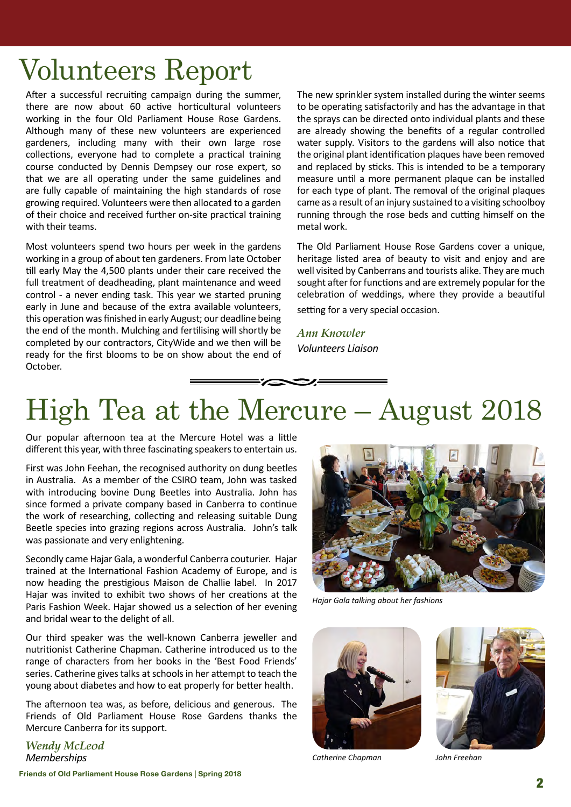## Volunteers Report

After a successful recruiting campaign during the summer, there are now about 60 active horticultural volunteers working in the four Old Parliament House Rose Gardens. Although many of these new volunteers are experienced gardeners, including many with their own large rose collections, everyone had to complete a practical training course conducted by Dennis Dempsey our rose expert, so that we are all operating under the same guidelines and are fully capable of maintaining the high standards of rose growing required. Volunteers were then allocated to a garden of their choice and received further on-site practical training with their teams.

Most volunteers spend two hours per week in the gardens working in a group of about ten gardeners. From late October till early May the 4,500 plants under their care received the full treatment of deadheading, plant maintenance and weed control - a never ending task. This year we started pruning early in June and because of the extra available volunteers, this operation was finished in early August; our deadline being the end of the month. Mulching and fertilising will shortly be completed by our contractors, CityWide and we then will be ready for the first blooms to be on show about the end of October.

The new sprinkler system installed during the winter seems to be operating satisfactorily and has the advantage in that the sprays can be directed onto individual plants and these are already showing the benefits of a regular controlled water supply. Visitors to the gardens will also notice that the original plant identification plaques have been removed and replaced by sticks. This is intended to be a temporary measure until a more permanent plaque can be installed for each type of plant. The removal of the original plaques came as a result of an injury sustained to a visiting schoolboy running through the rose beds and cutting himself on the metal work.

The Old Parliament House Rose Gardens cover a unique, heritage listed area of beauty to visit and enjoy and are well visited by Canberrans and tourists alike. They are much sought after for functions and are extremely popular for the celebration of weddings, where they provide a beautiful setting for a very special occasion.

*Ann Knowler Volunteers Liaison*

## High Tea at the Mercure – August 2018

Our popular afternoon tea at the Mercure Hotel was a little different this year, with three fascinating speakers to entertain us.

First was John Feehan, the recognised authority on dung beetles in Australia. As a member of the CSIRO team, John was tasked with introducing bovine Dung Beetles into Australia. John has since formed a private company based in Canberra to continue the work of researching, collecting and releasing suitable Dung Beetle species into grazing regions across Australia. John's talk was passionate and very enlightening.

Secondly came Hajar Gala, a wonderful Canberra couturier. Hajar trained at the International Fashion Academy of Europe, and is now heading the prestigious Maison de Challie label. In 2017 Hajar was invited to exhibit two shows of her creations at the Paris Fashion Week. Hajar showed us a selection of her evening and bridal wear to the delight of all.

Our third speaker was the well-known Canberra jeweller and nutritionist Catherine Chapman. Catherine introduced us to the range of characters from her books in the 'Best Food Friends' series. Catherine gives talks at schools in her attempt to teach the young about diabetes and how to eat properly for better health.

The afternoon tea was, as before, delicious and generous. The Friends of Old Parliament House Rose Gardens thanks the Mercure Canberra for its support.

*Wendy McLeod Memberships*



*Hajar Gala talking about her fashions*



*Catherine Chapman John Freehan*

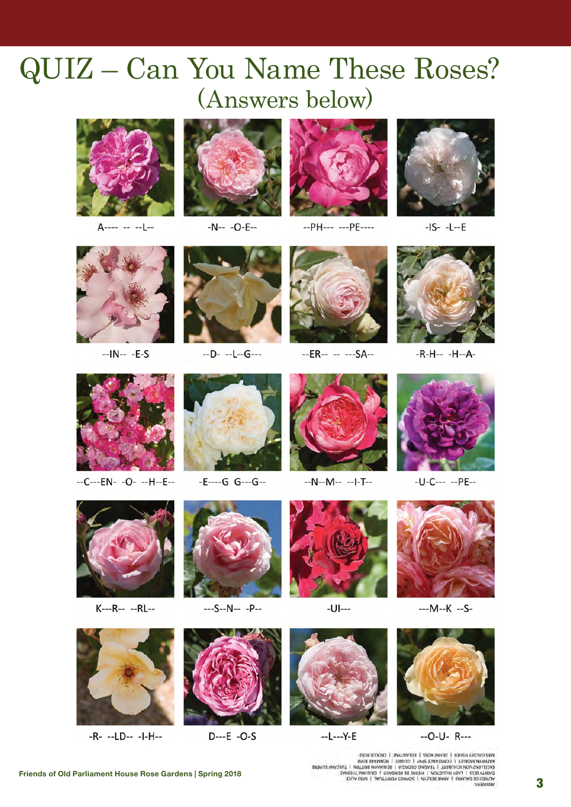## QUIZ - Can You Name These Roses? (Answers below)



 $A$ ---- -- -- L--



 $-N--$  -O-E--



-- PH --- --- PE ----



 $-1S - -L - E$ 



 $-IN---E-S$ 



--D- --L--G---



 $-ER$ -- -- ---SA--



 $-R-H--H--A-$ 



--C---EN- -O- --H--E--



 $-E$ ----G G---G--



 $-N-M----I$ 



 $-U-C--- -PE--$ 



K---R-- --RL--



 $--S--N---P--$ 



 $-U$ l---



 $--M-K$  --S-



-R- --LD-- -l-H--



 $D---E -O-S$ 



 $-L$ --- $Y$ -E



 $-$ -O-U-R- $-$ 

WER OVIDEA HENER | DEVME KOZE | EGITANLIANE | CKOCITE KOZE<br>KALHBAN MOBITEA | COMELVINCE BABA | CHINEE | BENNYBK BOSE<br>KOZETEKEN AOS KONTES | LEVENING BOSE | BENNYBK BOSE<br>DYINLI RESE | FYOA HITTIELON | BIEBBE DE KONEVALT (CR SHEWSNY